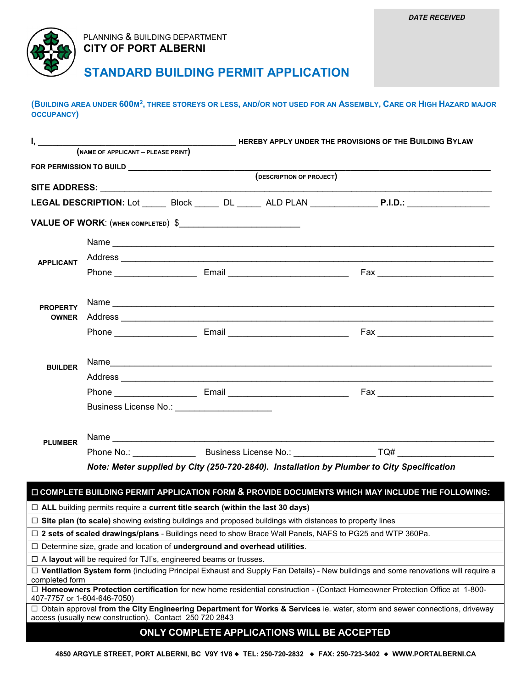

## PLANNING & BUILDING DEPARTMENT  **CITY OF PORT ALBERNI**

## **STANDARD BUILDING PERMIT APPLICATION**

**(BUILDING AREA UNDER 600M2, THREE STOREYS OR LESS, AND/OR NOT USED FOR AN ASSEMBLY, CARE OR HIGH HAZARD MAJOR OCCUPANCY)** 

| $I, \underline{\hspace{2cm}}$   | HEREBY APPLY UNDER THE PROVISIONS OF THE BUILDING BYLAW                                    |                                                                                      |                                                                                                                |                                                                                                                                    |  |  |  |
|---------------------------------|--------------------------------------------------------------------------------------------|--------------------------------------------------------------------------------------|----------------------------------------------------------------------------------------------------------------|------------------------------------------------------------------------------------------------------------------------------------|--|--|--|
|                                 | $(NAME OF APPLICATION - PLEASE PRINT)$                                                     |                                                                                      |                                                                                                                |                                                                                                                                    |  |  |  |
|                                 |                                                                                            |                                                                                      |                                                                                                                |                                                                                                                                    |  |  |  |
|                                 |                                                                                            |                                                                                      | (DESCRIPTION OF PROJECT)                                                                                       |                                                                                                                                    |  |  |  |
|                                 |                                                                                            |                                                                                      |                                                                                                                |                                                                                                                                    |  |  |  |
|                                 |                                                                                            |                                                                                      |                                                                                                                | LEGAL DESCRIPTION: Lot ________Block ________DL ________ALD PLAN ________________ P.I.D.: ___________________                      |  |  |  |
|                                 |                                                                                            | VALUE OF WORK: (WHEN COMPLETED) \$                                                   |                                                                                                                |                                                                                                                                    |  |  |  |
|                                 |                                                                                            |                                                                                      |                                                                                                                |                                                                                                                                    |  |  |  |
| <b>APPLICANT</b>                |                                                                                            |                                                                                      |                                                                                                                |                                                                                                                                    |  |  |  |
|                                 |                                                                                            |                                                                                      |                                                                                                                |                                                                                                                                    |  |  |  |
| <b>PROPERTY</b><br><b>OWNER</b> |                                                                                            |                                                                                      |                                                                                                                |                                                                                                                                    |  |  |  |
|                                 |                                                                                            |                                                                                      |                                                                                                                |                                                                                                                                    |  |  |  |
|                                 |                                                                                            |                                                                                      |                                                                                                                |                                                                                                                                    |  |  |  |
|                                 |                                                                                            |                                                                                      |                                                                                                                |                                                                                                                                    |  |  |  |
| <b>BUILDER</b>                  |                                                                                            |                                                                                      |                                                                                                                |                                                                                                                                    |  |  |  |
|                                 |                                                                                            |                                                                                      |                                                                                                                |                                                                                                                                    |  |  |  |
|                                 |                                                                                            |                                                                                      |                                                                                                                |                                                                                                                                    |  |  |  |
|                                 |                                                                                            |                                                                                      |                                                                                                                |                                                                                                                                    |  |  |  |
|                                 |                                                                                            |                                                                                      |                                                                                                                |                                                                                                                                    |  |  |  |
| <b>PLUMBER</b>                  |                                                                                            |                                                                                      |                                                                                                                |                                                                                                                                    |  |  |  |
|                                 |                                                                                            |                                                                                      |                                                                                                                |                                                                                                                                    |  |  |  |
|                                 | Note: Meter supplied by City (250-720-2840). Installation by Plumber to City Specification |                                                                                      |                                                                                                                |                                                                                                                                    |  |  |  |
|                                 |                                                                                            |                                                                                      |                                                                                                                | □ COMPLETE BUILDING PERMIT APPLICATION FORM & PROVIDE DOCUMENTS WHICH MAY INCLUDE THE FOLLOWING:                                   |  |  |  |
|                                 |                                                                                            | $\Box$ ALL building permits require a current title search (within the last 30 days) |                                                                                                                |                                                                                                                                    |  |  |  |
|                                 |                                                                                            |                                                                                      | $\Box$ Site plan (to scale) showing existing buildings and proposed buildings with distances to property lines |                                                                                                                                    |  |  |  |
|                                 |                                                                                            |                                                                                      |                                                                                                                | □ 2 sets of scaled drawings/plans - Buildings need to show Brace Wall Panels, NAFS to PG25 and WTP 360Pa.                          |  |  |  |
|                                 |                                                                                            | $\Box$ Determine size, grade and location of underground and overhead utilities.     |                                                                                                                |                                                                                                                                    |  |  |  |
|                                 |                                                                                            | $\Box$ A layout will be required for TJI's, engineered beams or trusses.             |                                                                                                                |                                                                                                                                    |  |  |  |
|                                 |                                                                                            |                                                                                      |                                                                                                                | □ Ventilation System form (including Principal Exhaust and Supply Fan Details) - New buildings and some renovations will require a |  |  |  |
| completed form                  |                                                                                            |                                                                                      |                                                                                                                |                                                                                                                                    |  |  |  |
|                                 | 407-7757 or 1-604-646-7050)                                                                |                                                                                      |                                                                                                                | $\Box$ Homeowners Protection certification for new home residential construction - (Contact Homeowner Protection Office at 1-800-  |  |  |  |
|                                 | access (usually new construction). Contact 250 720 2843                                    |                                                                                      |                                                                                                                | □ Obtain approval from the City Engineering Department for Works & Services ie. water, storm and sewer connections, driveway       |  |  |  |
|                                 |                                                                                            |                                                                                      |                                                                                                                |                                                                                                                                    |  |  |  |
|                                 |                                                                                            |                                                                                      | ONLY COMPLETE APPLICATIONS WILL BE ACCEPTED                                                                    |                                                                                                                                    |  |  |  |